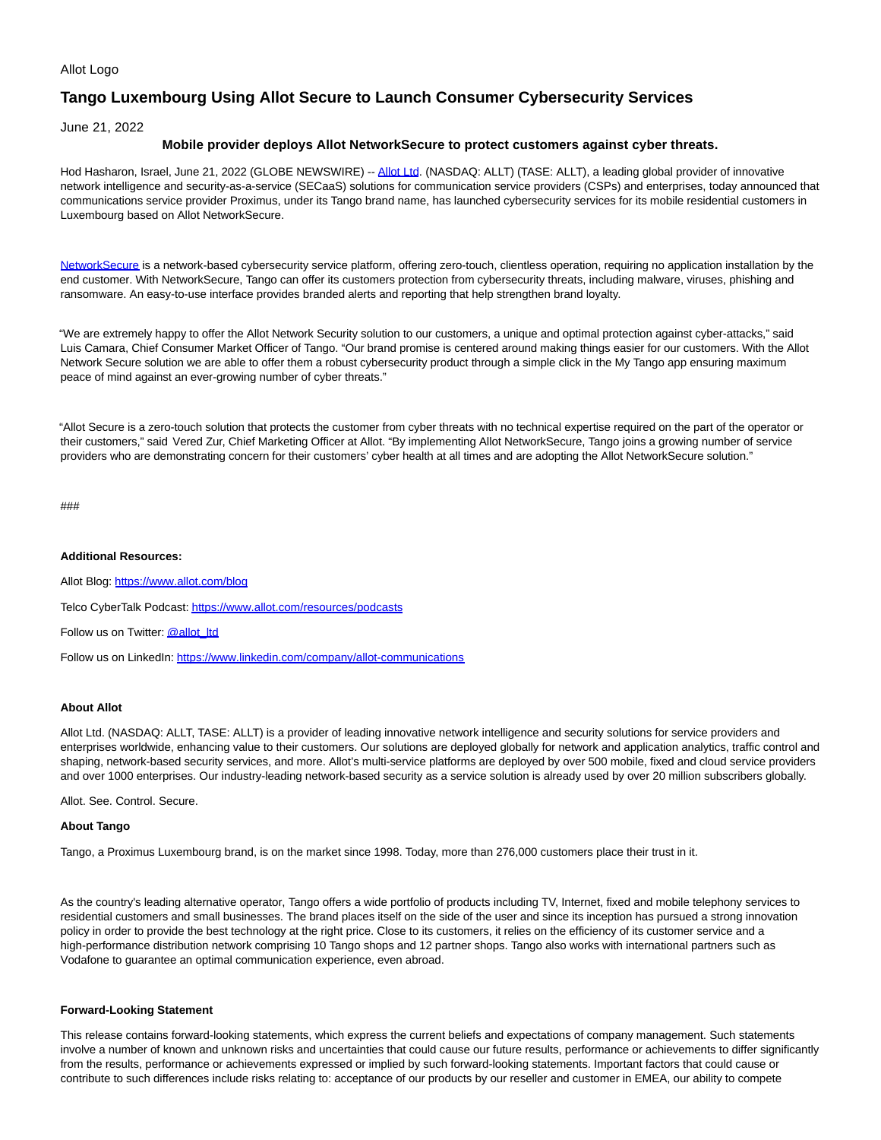## Allot Logo

# **Tango Luxembourg Using Allot Secure to Launch Consumer Cybersecurity Services**

June 21, 2022

## **Mobile provider deploys Allot NetworkSecure to protect customers against cyber threats.**

Hod Hasharon, Israel, June 21, 2022 (GLOBE NEWSWIRE) -- [Allot Ltd.](https://www.globenewswire.com/Tracker?data=yZ8OmrZCVsBSJs6S2JgtnElOFdQWT2vt_fSzQMAqpIu-mkT2bMM651AkpqA-_LJCfxI6fxSok_7kibEymcRvkA==) (NASDAQ: ALLT) (TASE: ALLT), a leading global provider of innovative network intelligence and security-as-a-service (SECaaS) solutions for communication service providers (CSPs) and enterprises, today announced that communications service provider Proximus, under its Tango brand name, has launched cybersecurity services for its mobile residential customers in Luxembourg based on Allot NetworkSecure.

[NetworkSecure i](https://www.globenewswire.com/Tracker?data=IMzCRsZ0WQ_6YceM1AKYc6uU8bXrpKC5bbKl5aEOwZkYT0P2NXhSvEbDYA1lOhahBR-r3yIed_gO0QvppP4o1I8Ccj0zUQ2Oop6_KVjjFMUqVMd4eFZJtz0iyzpz5wxMkgiuiH_hm6BUpV32fcMDW3R_FalZJIHMsEWa0Sx3pbYyGE0zkQ7YOfsFQWzru5f0)s a network-based cybersecurity service platform, offering zero-touch, clientless operation, requiring no application installation by the end customer. With NetworkSecure, Tango can offer its customers protection from cybersecurity threats, including malware, viruses, phishing and ransomware. An easy-to-use interface provides branded alerts and reporting that help strengthen brand loyalty.

"We are extremely happy to offer the Allot Network Security solution to our customers, a unique and optimal protection against cyber-attacks," said Luis Camara, Chief Consumer Market Officer of Tango. "Our brand promise is centered around making things easier for our customers. With the Allot Network Secure solution we are able to offer them a robust cybersecurity product through a simple click in the My Tango app ensuring maximum peace of mind against an ever-growing number of cyber threats."

"Allot Secure is a zero-touch solution that protects the customer from cyber threats with no technical expertise required on the part of the operator or their customers," said Vered Zur, Chief Marketing Officer at Allot. "By implementing Allot NetworkSecure, Tango joins a growing number of service providers who are demonstrating concern for their customers' cyber health at all times and are adopting the Allot NetworkSecure solution."

###

### **Additional Resources:**

Allot Blog: [https://www.allot.com/blog](https://www.globenewswire.com/Tracker?data=3IRHkDoObTz4HD_Wxkkik3WUFzFpV32vf-Kv4AChd2y6Q-GtCo8_xW60v-DV9GyjhLVVEoodbD5Nbh3XGwvS_kh8ucU29H657sWLLqbxeDw=) Telco CyberTalk Podcast[: https://www.allot.com/resources/podcasts](https://www.globenewswire.com/Tracker?data=3IRHkDoObTz4HD_Wxkkik3WUFzFpV32vf-Kv4AChd2yBKtThubspeVSG2SS5d8TZaxOXFL6WVVu6NSCs2xXnDtcPx_6nwzruDe0Ms4XNl-UuNu98oHLdlU9mkof1vuXyhXsG4DnBuXfLVHyMSEkSHA==) Follow us on Twitter[: @allot\\_ltd](https://www.globenewswire.com/Tracker?data=fvChjr_WMfYNUJuNLa4y2KWha2CdBI9XpE9XTjk-Uq0Hkr9slHLZaUK6S_9S4PiaPD42XhDrBoz44gox3fH-5w==)

Follow us on LinkedIn: [https://www.linkedin.com/company/allot-communications](https://www.globenewswire.com/Tracker?data=3IRHkDoObTz4HD_WxkkikxeHd56ef5XzoFXpoYLpOxdw6H0ie4-ITNnlosmkGKNZwncM9E-ME1Ys3Y3ObzvSUKCscA8z3kBFSP-vSgYJBChKS7SHrBRTeSTAdxN0M3kJx95KfburBOYQnNXT4_xd6GzqyZ2Nxhv5CjSz4lU011Et5h3-JvaOqh4gEfkF4aIF)

## **About Allot**

Allot Ltd. (NASDAQ: ALLT, TASE: ALLT) is a provider of leading innovative network intelligence and security solutions for service providers and enterprises worldwide, enhancing value to their customers. Our solutions are deployed globally for network and application analytics, traffic control and shaping, network-based security services, and more. Allot's multi-service platforms are deployed by over 500 mobile, fixed and cloud service providers and over 1000 enterprises. Our industry-leading network-based security as a service solution is already used by over 20 million subscribers globally.

Allot. See. Control. Secure.

#### **About Tango**

Tango, a Proximus Luxembourg brand, is on the market since 1998. Today, more than 276,000 customers place their trust in it.

As the country's leading alternative operator, Tango offers a wide portfolio of products including TV, Internet, fixed and mobile telephony services to residential customers and small businesses. The brand places itself on the side of the user and since its inception has pursued a strong innovation policy in order to provide the best technology at the right price. Close to its customers, it relies on the efficiency of its customer service and a high-performance distribution network comprising 10 Tango shops and 12 partner shops. Tango also works with international partners such as Vodafone to guarantee an optimal communication experience, even abroad.

#### **Forward-Looking Statement**

This release contains forward-looking statements, which express the current beliefs and expectations of company management. Such statements involve a number of known and unknown risks and uncertainties that could cause our future results, performance or achievements to differ significantly from the results, performance or achievements expressed or implied by such forward-looking statements. Important factors that could cause or contribute to such differences include risks relating to: acceptance of our products by our reseller and customer in EMEA, our ability to compete